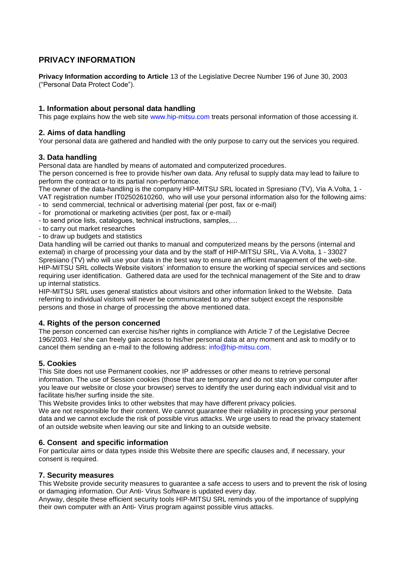# **PRIVACY INFORMATION**

**Privacy Information according to Article** 13 of the Legislative Decree Number 196 of June 30, 2003 ("Personal Data Protect Code").

## **1. Information about personal data handling**

This page explains how the web site www.hip-mitsu.com treats personal information of those accessing it.

## **2. Aims of data handling**

Your personal data are gathered and handled with the only purpose to carry out the services you required.

## **3. Data handling**

Personal data are handled by means of automated and computerized procedures.

The person concerned is free to provide his/her own data. Any refusal to supply data may lead to failure to perform the contract or to its partial non-performance.

The owner of the data-handling is the company HIP-MITSU SRL located in Spresiano (TV), Via A.Volta, 1 - VAT registration number IT02502610260, who will use your personal information also for the following aims:

- to send commercial, technical or advertising material (per post, fax or e-mail)
- for promotional or marketing activities (per post, fax or e-mail)
- to send price lists, catalogues, technical instructions, samples,…
- to carry out market researches
- to draw up budgets and statistics

Data handling will be carried out thanks to manual and computerized means by the persons (internal and external) in charge of processing your data and by the staff of HIP-MITSU SRL, Via A.Volta, 1 - 33027 Spresiano (TV) who will use your data in the best way to ensure an efficient management of the web-site. HIP-MITSU SRL collects Website visitors' information to ensure the working of special services and sections requiring user identification. Gathered data are used for the technical management of the Site and to draw up internal statistics.

HIP-MITSU SRL uses general statistics about visitors and other information linked to the Website. Data referring to individual visitors will never be communicated to any other subject except the responsible persons and those in charge of processing the above mentioned data.

#### **4. Rights of the person concerned**

The person concerned can exercise his/her rights in compliance with Article 7 of the Legislative Decree 196/2003. He/ she can freely gain access to his/her personal data at any moment and ask to modify or to cancel them sending an e-mail to the following address: info@hip-mitsu.com.

## **5. Cookies**

This Site does not use Permanent cookies, nor IP addresses or other means to retrieve personal information. The use of Session cookies (those that are temporary and do not stay on your computer after you leave our website or close your browser) serves to identify the user during each individual visit and to facilitate his/her surfing inside the site.

This Website provides links to other websites that may have different privacy policies.

We are not responsible for their content. We cannot quarantee their reliability in processing your personal data and we cannot exclude the risk of possible virus attacks. We urge users to read the privacy statement of an outside website when leaving our site and linking to an outside website.

## **6. Consent and specific information**

For particular aims or data types inside this Website there are specific clauses and, if necessary, your consent is required.

## **7. Security measures**

This Website provide security measures to guarantee a safe access to users and to prevent the risk of losing or damaging information. Our Anti- Virus Software is updated every day.

Anyway, despite these efficient security tools HIP-MITSU SRL reminds you of the importance of supplying their own computer with an Anti- Virus program against possible virus attacks.